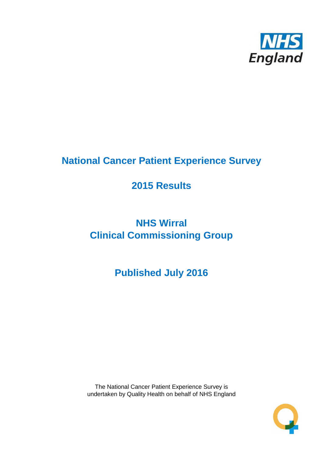

# **National Cancer Patient Experience Survey**

# **2015 Results**

# **NHS Wirral Clinical Commissioning Group**

**Published July 2016**

The National Cancer Patient Experience Survey is undertaken by Quality Health on behalf of NHS England

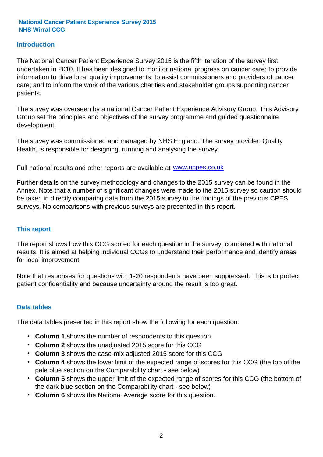#### **Introduction**

The National Cancer Patient Experience Survey 2015 is the fifth iteration of the survey first undertaken in 2010. It has been designed to monitor national progress on cancer care; to provide information to drive local quality improvements; to assist commissioners and providers of cancer care; and to inform the work of the various charities and stakeholder groups supporting cancer patients.

The survey was overseen by a national Cancer Patient Experience Advisory Group. This Advisory Group set the principles and objectives of the survey programme and guided questionnaire development.

The survey was commissioned and managed by NHS England. The survey provider, Quality Health, is responsible for designing, running and analysing the survey.

Full national results and other reports are available at www.ncpes.co.uk

Further details on the survey methodology and changes to the 2015 survey can be found in the Annex. Note that a number of significant changes were made to the 2015 survey so caution should be taken in directly comparing data from the 2015 survey to the findings of the previous CPES surveys. No comparisons with previous surveys are presented in this report.

#### **This report**

The report shows how this CCG scored for each question in the survey, compared with national results. It is aimed at helping individual CCGs to understand their performance and identify areas for local improvement.

Note that responses for questions with 1-20 respondents have been suppressed. This is to protect patient confidentiality and because uncertainty around the result is too great.

#### **Data tables**

The data tables presented in this report show the following for each question:

- **Column 1** shows the number of respondents to this question
- **Column 2** shows the unadjusted 2015 score for this CCG
- **Column 3** shows the case-mix adjusted 2015 score for this CCG
- **Column 4** shows the lower limit of the expected range of scores for this CCG (the top of the pale blue section on the Comparability chart - see below)
- **Column 5** shows the upper limit of the expected range of scores for this CCG (the bottom of the dark blue section on the Comparability chart - see below)
- **Column 6** shows the National Average score for this question.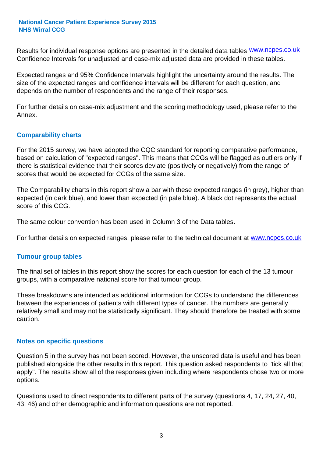Results for individual response options are presented in the detailed data tables **WWW.ncpes.co.uk** Confidence Intervals for unadjusted and case-mix adjusted data are provided in these tables.

Expected ranges and 95% Confidence Intervals highlight the uncertainty around the results. The size of the expected ranges and confidence intervals will be different for each question, and depends on the number of respondents and the range of their responses.

For further details on case-mix adjustment and the scoring methodology used, please refer to the Annex.

#### **Comparability charts**

For the 2015 survey, we have adopted the CQC standard for reporting comparative performance, based on calculation of "expected ranges". This means that CCGs will be flagged as outliers only if there is statistical evidence that their scores deviate (positively or negatively) from the range of scores that would be expected for CCGs of the same size.

The Comparability charts in this report show a bar with these expected ranges (in grey), higher than expected (in dark blue), and lower than expected (in pale blue). A black dot represents the actual score of this CCG.

The same colour convention has been used in Column 3 of the Data tables.

For further details on expected ranges, please refer to the technical document at **www.ncpes.co.uk** 

#### **Tumour group tables**

The final set of tables in this report show the scores for each question for each of the 13 tumour groups, with a comparative national score for that tumour group.

These breakdowns are intended as additional information for CCGs to understand the differences between the experiences of patients with different types of cancer. The numbers are generally relatively small and may not be statistically significant. They should therefore be treated with some caution.

#### **Notes on specific questions**

Question 5 in the survey has not been scored. However, the unscored data is useful and has been published alongside the other results in this report. This question asked respondents to "tick all that apply". The results show all of the responses given including where respondents chose two or more options.

Questions used to direct respondents to different parts of the survey (questions 4, 17, 24, 27, 40, 43, 46) and other demographic and information questions are not reported.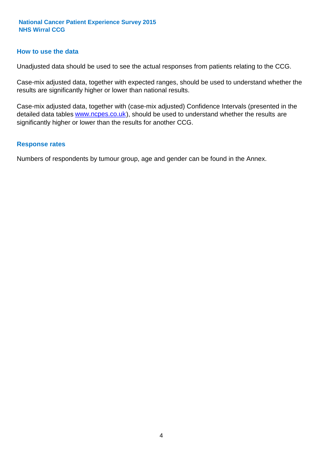#### **How to use the data**

Unadjusted data should be used to see the actual responses from patients relating to the CCG.

Case-mix adjusted data, together with expected ranges, should be used to understand whether the results are significantly higher or lower than national results.

Case-mix adjusted data, together with (case-mix adjusted) Confidence Intervals (presented in the detailed data tables **www.ncpes.co.uk**), should be used to understand whether the results are significantly higher or lower than the results for another CCG.

#### **Response rates**

Numbers of respondents by tumour group, age and gender can be found in the Annex.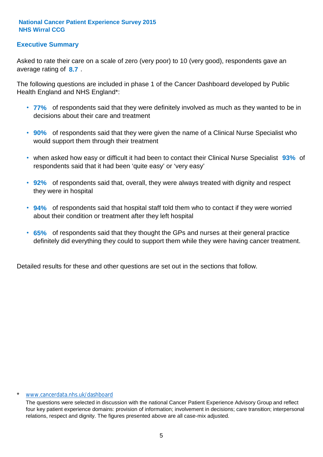#### **Executive Summary**

average rating of 8.7. Asked to rate their care on a scale of zero (very poor) to 10 (very good), respondents gave an

The following questions are included in phase 1 of the Cancer Dashboard developed by Public Health England and NHS England\*:

- **77%** of respondents said that they were definitely involved as much as they wanted to be in decisions about their care and treatment
- **90%** of respondents said that they were given the name of a Clinical Nurse Specialist who would support them through their treatment
- when asked how easy or difficult it had been to contact their Clinical Nurse Specialist 93% of respondents said that it had been 'quite easy' or 'very easy'
- **92%** of respondents said that, overall, they were always treated with dignity and respect they were in hospital
- **94%** of respondents said that hospital staff told them who to contact if they were worried about their condition or treatment after they left hospital
- **65%** of respondents said that they thought the GPs and nurses at their general practice definitely did everything they could to support them while they were having cancer treatment.

Detailed results for these and other questions are set out in the sections that follow.

#### \* www.cancerdata.nhs.uk/dashboard

The questions were selected in discussion with the national Cancer Patient Experience Advisory Group and reflect four key patient experience domains: provision of information; involvement in decisions; care transition; interpersonal relations, respect and dignity. The figures presented above are all case-mix adjusted.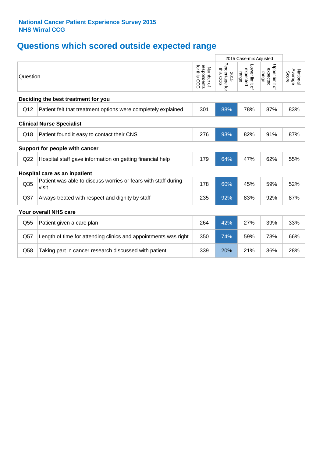# **Questions which scored outside expected range**

|                 |                                                                         | 2015 Case-mix Adjusted                      |                                    |                                     |                                     |                              |
|-----------------|-------------------------------------------------------------------------|---------------------------------------------|------------------------------------|-------------------------------------|-------------------------------------|------------------------------|
| Question        |                                                                         | for this<br>respondents<br>Number of<br>500 | Percentage for<br>this CCG<br>2015 | Lower limit of<br>expected<br>range | Upper limit of<br>expected<br>range | Average<br>National<br>Score |
|                 | Deciding the best treatment for you                                     |                                             |                                    |                                     |                                     |                              |
| Q12             | Patient felt that treatment options were completely explained           | 301                                         | 88%                                | 78%                                 | 87%                                 | 83%                          |
|                 | <b>Clinical Nurse Specialist</b>                                        |                                             |                                    |                                     |                                     |                              |
| Q18             | Patient found it easy to contact their CNS                              | 276                                         | 93%                                | 82%                                 | 91%                                 | 87%                          |
|                 | Support for people with cancer                                          |                                             |                                    |                                     |                                     |                              |
| Q22             | Hospital staff gave information on getting financial help               | 179                                         | 64%                                | 47%                                 | 62%                                 | 55%                          |
|                 | Hospital care as an inpatient                                           |                                             |                                    |                                     |                                     |                              |
| Q <sub>35</sub> | Patient was able to discuss worries or fears with staff during<br>visit | 178                                         | 60%                                | 45%                                 | 59%                                 | 52%                          |
| Q <sub>37</sub> | Always treated with respect and dignity by staff                        | 235                                         | 92%                                | 83%                                 | 92%                                 | 87%                          |
|                 | <b>Your overall NHS care</b>                                            |                                             |                                    |                                     |                                     |                              |
| Q55             | Patient given a care plan                                               | 264                                         | 42%                                | 27%                                 | 39%                                 | 33%                          |
| Q57             | Length of time for attending clinics and appointments was right         | 350                                         | 74%                                | 59%                                 | 73%                                 | 66%                          |
| Q58             | Taking part in cancer research discussed with patient                   | 339                                         | 20%                                | 21%                                 | 36%                                 | 28%                          |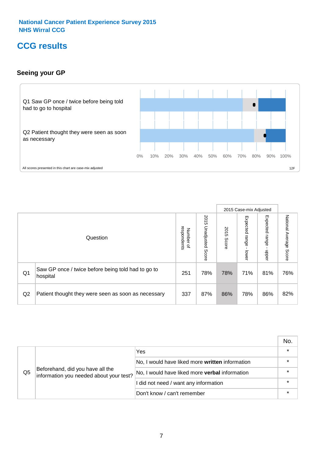### **CCG results**

#### **Seeing your GP**



|    |                                                                |                                         |                             |               | 2015 Case-mix Adjusted     |                            |                           |
|----|----------------------------------------------------------------|-----------------------------------------|-----------------------------|---------------|----------------------------|----------------------------|---------------------------|
|    | Question                                                       | respondents<br>Number<br>$\overline{a}$ | 2015<br>Unadjusted<br>Score | 2015<br>Score | Expected<br>range<br>lower | Expected<br>range<br>nbber | National Average<br>Score |
| Q1 | Saw GP once / twice before being told had to go to<br>hospital | 251                                     | 78%                         | 78%           | 71%                        | 81%                        | 76%                       |
| Q2 | Patient thought they were seen as soon as necessary            | 337                                     | 87%                         | 86%           | 78%                        | 86%                        | 82%                       |

|    |                                                                             |                                                 | No. |
|----|-----------------------------------------------------------------------------|-------------------------------------------------|-----|
|    | Beforehand, did you have all the<br>information you needed about your test? | Yes                                             |     |
| Q5 |                                                                             | No, I would have liked more written information |     |
|    |                                                                             | No, I would have liked more verbal information  |     |
|    |                                                                             | I did not need / want any information           |     |
|    |                                                                             | Don't know / can't remember                     |     |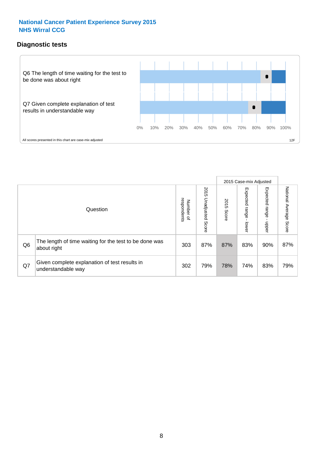#### **Diagnostic tests**



|                |                                                                       |                                   |                             |               | 2015 Case-mix Adjusted      |                         |                           |
|----------------|-----------------------------------------------------------------------|-----------------------------------|-----------------------------|---------------|-----------------------------|-------------------------|---------------------------|
|                | Question                                                              | respondents<br>Number<br>$\Omega$ | 2015<br>Unadjusted<br>Score | 2015<br>Score | Expected<br> range<br>lower | Expected range<br>nbber | National Average<br>Score |
| Q <sub>6</sub> | The length of time waiting for the test to be done was<br>about right | 303                               | 87%                         | 87%           | 83%                         | 90%                     | 87%                       |
| Q7             | Given complete explanation of test results in<br>understandable way   | 302                               | 79%                         | 78%           | 74%                         | 83%                     | 79%                       |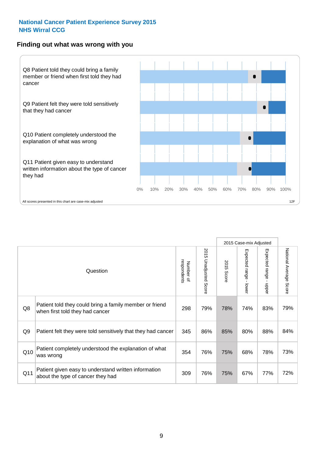#### **Finding out what was wrong with you**



|                |                                                                                            |                          |                                 |                      | 2015 Case-mix Adjusted                    |                                       |                        |
|----------------|--------------------------------------------------------------------------------------------|--------------------------|---------------------------------|----------------------|-------------------------------------------|---------------------------------------|------------------------|
|                | Question                                                                                   | respondents<br>Number of | 2015<br><b>Unadjusted Score</b> | 2015<br><b>Score</b> | Expected range<br>$\blacksquare$<br>lower | Expected range<br>$\mathbf{I}$<br>ddo | National Average Score |
| Q8             | Patient told they could bring a family member or friend<br>when first told they had cancer | 298                      | 79%                             | 78%                  | 74%                                       | 83%                                   | 79%                    |
| Q <sub>9</sub> | Patient felt they were told sensitively that they had cancer                               | 345                      | 86%                             | 85%                  | 80%                                       | 88%                                   | 84%                    |
| Q10            | Patient completely understood the explanation of what<br>was wrong                         | 354                      | 76%                             | 75%                  | 68%                                       | 78%                                   | 73%                    |
| Q11            | Patient given easy to understand written information<br>about the type of cancer they had  | 309                      | 76%                             | 75%                  | 67%                                       | 77%                                   | 72%                    |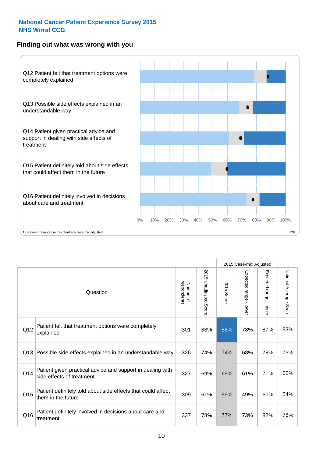#### **Finding out what was wrong with you**



|                 |                                                                                         |                          |                       |               | 2015 Case-mix Adjusted                  |                           |                        |
|-----------------|-----------------------------------------------------------------------------------------|--------------------------|-----------------------|---------------|-----------------------------------------|---------------------------|------------------------|
|                 | Question                                                                                | respondents<br>Number of | 2015 Unadjusted Score | 2015<br>Score | Expected range<br>$\mathbf{r}$<br>lower | Expected range -<br>nbber | National Average Score |
| Q12             | Patient felt that treatment options were completely<br>explained                        | 301                      | 88%                   | 88%           | 78%                                     | 87%                       | 83%                    |
| Q13             | Possible side effects explained in an understandable way                                | 326                      | 74%                   | 74%           | 68%                                     | 78%                       | 73%                    |
| Q14             | Patient given practical advice and support in dealing with<br>side effects of treatment | 327                      | 69%                   | 69%           | 61%                                     | 71%                       | 66%                    |
| Q <sub>15</sub> | Patient definitely told about side effects that could affect<br>them in the future      | 309                      | 61%                   | 59%           | 49%                                     | 60%                       | 54%                    |
| Q16             | Patient definitely involved in decisions about care and<br>treatment                    | 337                      | 78%                   | 77%           | 73%                                     | 82%                       | 78%                    |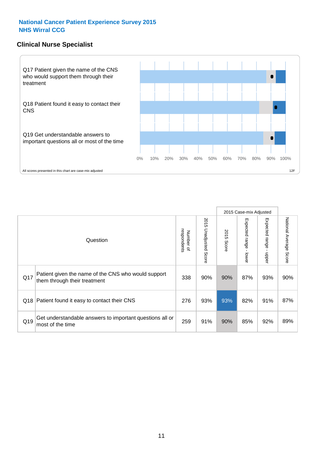#### **Clinical Nurse Specialist**



|     |                                                                                     |                          |                       |               | 2015 Case-mix Adjusted  |                            |                                  |
|-----|-------------------------------------------------------------------------------------|--------------------------|-----------------------|---------------|-------------------------|----------------------------|----------------------------------|
|     | Question                                                                            | respondents<br>Number of | 2015 Unadjusted Score | 2015<br>Score | Expected range<br>lower | Expected<br>uange<br>nbber | National Average<br><b>Score</b> |
| Q17 | Patient given the name of the CNS who would support<br>them through their treatment | 338                      | 90%                   | 90%           | 87%                     | 93%                        | 90%                              |
| Q18 | Patient found it easy to contact their CNS                                          | 276                      | 93%                   | 93%           | 82%                     | 91%                        | 87%                              |
| Q19 | Get understandable answers to important questions all or<br>most of the time        | 259                      | 91%                   | 90%           | 85%                     | 92%                        | 89%                              |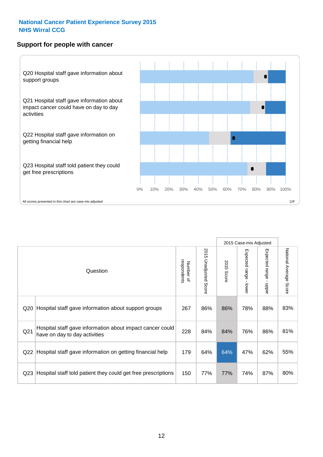#### **Support for people with cancer**



|                 |                                                                                            |                          |                                 |               | 2015 Case-mix Adjusted                  |                                           |                        |
|-----------------|--------------------------------------------------------------------------------------------|--------------------------|---------------------------------|---------------|-----------------------------------------|-------------------------------------------|------------------------|
|                 | Question                                                                                   | respondents<br>Number of | 2015<br><b>Unadjusted Score</b> | 2015<br>Score | Expected range<br>$\mathbf{I}$<br>lower | Expected range<br>$\blacksquare$<br>nbber | National Average Score |
| Q20             | Hospital staff gave information about support groups                                       | 267                      | 86%                             | 86%           | 78%                                     | 88%                                       | 83%                    |
| Q <sub>21</sub> | Hospital staff gave information about impact cancer could<br>have on day to day activities | 228                      | 84%                             | 84%           | 76%                                     | 86%                                       | 81%                    |
| Q22             | Hospital staff gave information on getting financial help                                  | 179                      | 64%                             | 64%           | 47%                                     | 62%                                       | 55%                    |
| Q23             | Hospital staff told patient they could get free prescriptions                              | 150                      | 77%                             | 77%           | 74%                                     | 87%                                       | 80%                    |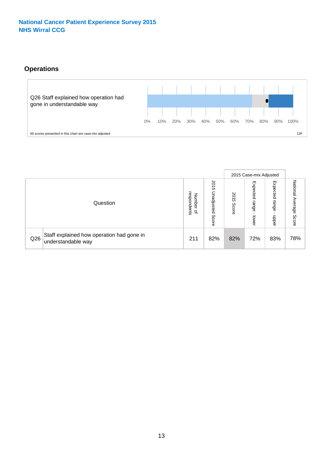#### **Operations**



|     |                                                                 |                                         |                             |               | 2015 Case-mix Adjusted     |                           |                              |
|-----|-----------------------------------------------------------------|-----------------------------------------|-----------------------------|---------------|----------------------------|---------------------------|------------------------------|
|     | Question                                                        | respondents<br>Number<br>$\overline{a}$ | 2015<br>Unadjusted<br>Score | 2015<br>Score | Expected<br>range<br>lower | Expected<br>range<br>ddoe | National<br>Average<br>Score |
| Q26 | Staff explained how operation had gone in<br>understandable way | 211                                     | 82%                         | 82%           | 72%                        | 83%                       | 78%                          |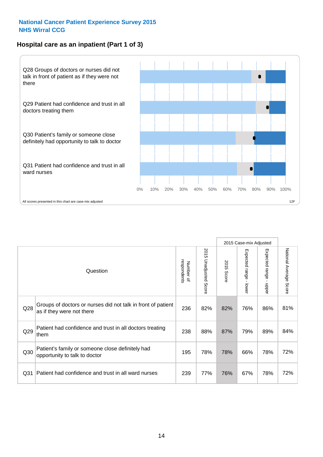#### **Hospital care as an inpatient (Part 1 of 3)**



All scores presented in this chart are case-mix adjusted  $12$ F<br>All scores presented in this chart are case-mix adjusted

|                 |                                                                                           |                          |                          |               | 2015 Case-mix Adjusted                  |                                           |                        |
|-----------------|-------------------------------------------------------------------------------------------|--------------------------|--------------------------|---------------|-----------------------------------------|-------------------------------------------|------------------------|
|                 | Question                                                                                  | respondents<br>Number of | 2015<br>Unadjusted Score | 2015<br>Score | Expected range<br>$\mathbf{r}$<br>lower | Expected range<br>$\blacksquare$<br>nbber | National Average Score |
| Q28             | Groups of doctors or nurses did not talk in front of patient<br>as if they were not there | 236                      | 82%                      | 82%           | 76%                                     | 86%                                       | 81%                    |
| Q29             | Patient had confidence and trust in all doctors treating<br>them                          | 238                      | 88%                      | 87%           | 79%                                     | 89%                                       | 84%                    |
| Q30             | Patient's family or someone close definitely had<br>opportunity to talk to doctor         | 195                      | 78%                      | 78%           | 66%                                     | 78%                                       | 72%                    |
| Q <sub>31</sub> | Patient had confidence and trust in all ward nurses                                       | 239                      | 77%                      | 76%           | 67%                                     | 78%                                       | 72%                    |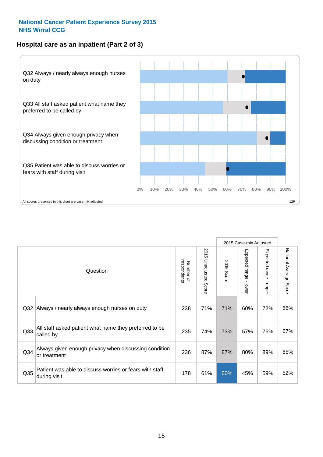#### **Hospital care as an inpatient (Part 2 of 3)**



|                 |                                                                         |                          |                          |               | 2015 Case-mix Adjusted |                           |                           |
|-----------------|-------------------------------------------------------------------------|--------------------------|--------------------------|---------------|------------------------|---------------------------|---------------------------|
|                 | Question                                                                | respondents<br>Number of | 2015 Unadjusted<br>Score | 2015<br>Score | Expected range - lower | Expected range<br>- nbbeu | National Average<br>Score |
| Q32             | Always / nearly always enough nurses on duty                            | 238                      | 71%                      | 71%           | 60%                    | 72%                       | 66%                       |
| Q <sub>33</sub> | All staff asked patient what name they preferred to be<br>called by     | 235                      | 74%                      | 73%           | 57%                    | 76%                       | 67%                       |
| Q34             | Always given enough privacy when discussing condition<br>or treatment   | 236                      | 87%                      | 87%           | 80%                    | 89%                       | 85%                       |
| Q <sub>35</sub> | Patient was able to discuss worries or fears with staff<br>during visit | 178                      | 61%                      | 60%           | 45%                    | 59%                       | 52%                       |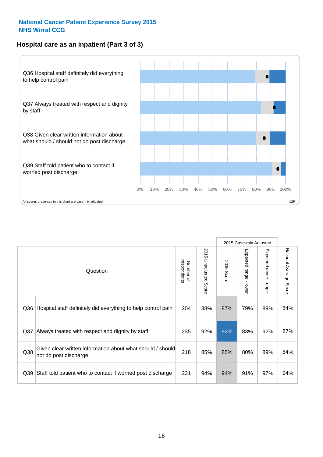#### **Hospital care as an inpatient (Part 3 of 3)**



|                 |                                                                                     |                          |                                 |               | 2015 Case-mix Adjusted                    |                           |                        |
|-----------------|-------------------------------------------------------------------------------------|--------------------------|---------------------------------|---------------|-------------------------------------------|---------------------------|------------------------|
|                 | Question                                                                            | Number of<br>respondents | 2015<br><b>Unadjusted Score</b> | 2015<br>Score | Expected range<br>$\blacksquare$<br>lower | Expected range -<br>nbber | National Average Score |
| Q36             | Hospital staff definitely did everything to help control pain                       | 204                      | 88%                             | 87%           | 79%                                       | 89%                       | 84%                    |
| Q <sub>37</sub> | Always treated with respect and dignity by staff                                    | 235                      | 92%                             | 92%           | 83%                                       | 92%                       | 87%                    |
| Q38             | Given clear written information about what should / should<br>not do post discharge | 218                      | 85%                             | 85%           | 80%                                       | 89%                       | 84%                    |
| Q39             | Staff told patient who to contact if worried post discharge                         | 231                      | 94%                             | 94%           | 91%                                       | 97%                       | 94%                    |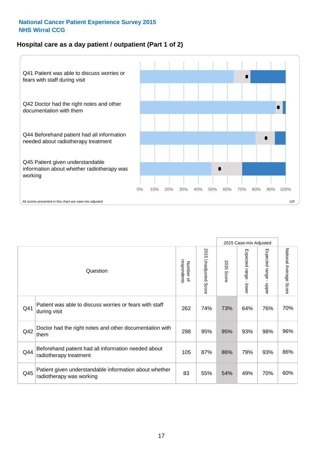#### **Hospital care as a day patient / outpatient (Part 1 of 2)**



|     |                                                                                    |                          |                                 |                      | 2015 Case-mix Adjusted                  |                                         |                        |
|-----|------------------------------------------------------------------------------------|--------------------------|---------------------------------|----------------------|-----------------------------------------|-----------------------------------------|------------------------|
|     | Question                                                                           | respondents<br>Number of | 2015<br><b>Unadjusted Score</b> | 2015<br><b>Score</b> | Expected range<br>$\mathbf{r}$<br>lower | Expected range<br>$\mathbf{I}$<br>nbber | National Average Score |
| Q41 | Patient was able to discuss worries or fears with staff<br>during visit            | 262                      | 74%                             | 73%                  | 64%                                     | 76%                                     | 70%                    |
| Q42 | Doctor had the right notes and other documentation with<br>them                    | 298                      | 95%                             | 95%                  | 93%                                     | 98%                                     | 96%                    |
| Q44 | Beforehand patient had all information needed about<br>radiotherapy treatment      | 105                      | 87%                             | 86%                  | 79%                                     | 93%                                     | 86%                    |
| Q45 | Patient given understandable information about whether<br>radiotherapy was working | 83                       | 55%                             | 54%                  | 49%                                     | 70%                                     | 60%                    |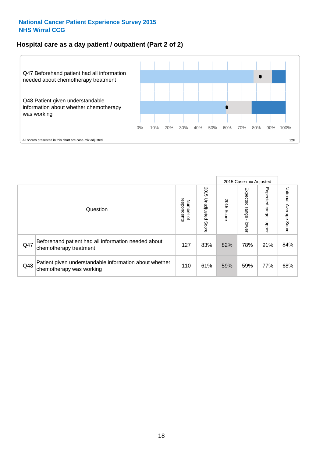#### **Hospital care as a day patient / outpatient (Part 2 of 2)**



|     |                                                                                    |                                       |                             |               |                             | 2015 Case-mix Adjusted  |                           |
|-----|------------------------------------------------------------------------------------|---------------------------------------|-----------------------------|---------------|-----------------------------|-------------------------|---------------------------|
|     | Question                                                                           | respondents<br>Number<br>$\mathbf{Q}$ | 2015<br>Unadjusted<br>Score | 2015<br>Score | Expected<br>Irange<br>lower | Expected range<br>doper | National Average<br>Score |
| Q47 | Beforehand patient had all information needed about<br>chemotherapy treatment      | 127                                   | 83%                         | 82%           | 78%                         | 91%                     | 84%                       |
| Q48 | Patient given understandable information about whether<br>chemotherapy was working | 110                                   | 61%                         | 59%           | 59%                         | 77%                     | 68%                       |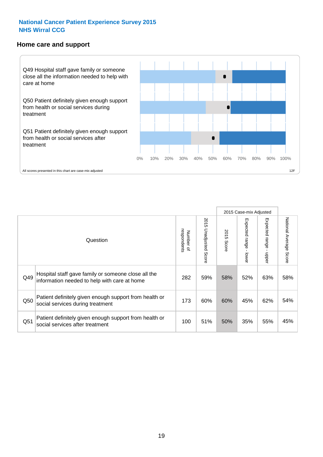#### **Home care and support**



2015 Case-mix Adjusted 2015 Unadjusted Score Expected range - upper National Average Score 2015 Unadjusted Score Expected range - lower National Average Score Expected range - lower Expected range - upper Number of<br>respondents 2015 Score respondents 2015 Score Number of Question Hospital staff gave family or someone close all the  $Q49$  information needed to help with care at home  $282$  |  $59\%$  |  $58\%$  |  $52\%$  |  $63\%$  |  $58\%$ Patient definitely given enough support from health or Q50 social services during treatment 173 | 60% 60% 45% 62% 54% Patient definitely given enough support from health or  $\frac{1051}{\text{social services after treatment}}$  100  $\begin{vmatrix} 51\% & 50\% & 35\% \end{vmatrix}$  55% 45%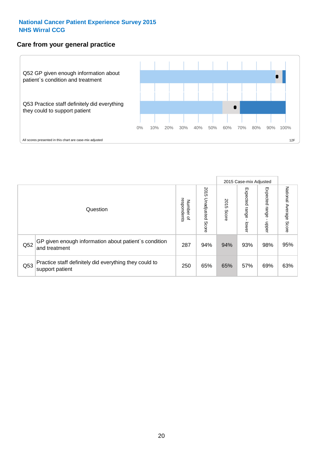#### **Care from your general practice**



|     |                                                                           |                                       |                             |               |                                    | 2015 Case-mix Adjusted     |                           |
|-----|---------------------------------------------------------------------------|---------------------------------------|-----------------------------|---------------|------------------------------------|----------------------------|---------------------------|
|     | Question                                                                  | respondents<br>Number<br>$\mathbf{Q}$ | 2015<br>Unadjusted<br>Score | 2015<br>Score | Expected<br><b>Irange</b><br>lower | Expected<br>range<br>doper | National Average<br>Score |
| Q52 | GP given enough information about patient's condition<br>and treatment    | 287                                   | 94%                         | 94%           | 93%                                | 98%                        | 95%                       |
| Q53 | Practice staff definitely did everything they could to<br>support patient | 250                                   | 65%                         | 65%           | 57%                                | 69%                        | 63%                       |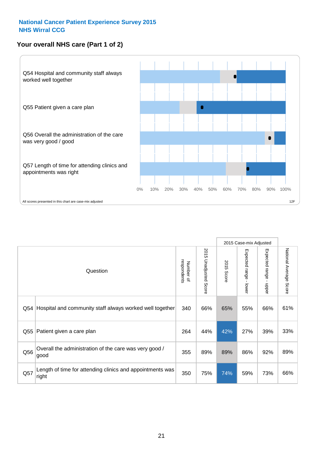#### **Your overall NHS care (Part 1 of 2)**



|     |                                                                    |                          |                          |                      | 2015 Case-mix Adjusted  |                                           |                        |
|-----|--------------------------------------------------------------------|--------------------------|--------------------------|----------------------|-------------------------|-------------------------------------------|------------------------|
|     | Question                                                           | respondents<br>Number of | 2015<br>Unadjusted Score | 2015<br><b>Score</b> | Expected range<br>lower | Expected range<br>$\blacksquare$<br>nbber | National Average Score |
| Q54 | Hospital and community staff always worked well together           | 340                      | 66%                      | 65%                  | 55%                     | 66%                                       | 61%                    |
| Q55 | Patient given a care plan                                          | 264                      | 44%                      | 42%                  | 27%                     | 39%                                       | 33%                    |
| Q56 | Overall the administration of the care was very good /<br>good     | 355                      | 89%                      | 89%                  | 86%                     | 92%                                       | 89%                    |
| Q57 | Length of time for attending clinics and appointments was<br>right | 350                      | 75%                      | 74%                  | 59%                     | 73%                                       | 66%                    |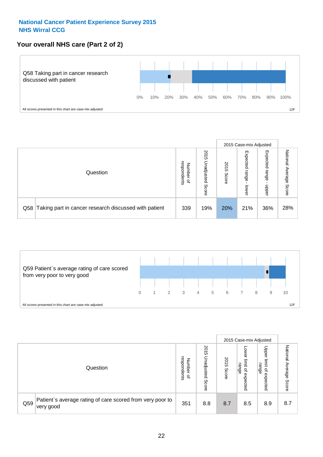#### **Your overall NHS care (Part 2 of 2)**



|     |                                                       |                                              |                             |               |                            | 2015 Case-mix Adjusted     |                        |
|-----|-------------------------------------------------------|----------------------------------------------|-----------------------------|---------------|----------------------------|----------------------------|------------------------|
|     | Question                                              | respondents<br>Number<br>$\overline{\sigma}$ | 2015<br>Unadjusted<br>Score | 2015<br>Score | Expected<br>range<br>lower | Expected<br>range<br>nbber | National Average Score |
| Q58 | Taking part in cancer research discussed with patient | 339                                          | 19%                         | 20%           | 21%                        | 36%                        | 28%                    |



|     |                                                                        |                                   |                             |               |                                                           | 2015 Case-mix Adjusted                                |                              |
|-----|------------------------------------------------------------------------|-----------------------------------|-----------------------------|---------------|-----------------------------------------------------------|-------------------------------------------------------|------------------------------|
|     | Question                                                               | respondents<br>Number<br>$\Omega$ | 2015<br>Inadjusted<br>Score | 2015<br>Score | OWer<br>limit<br>range<br>$\overline{\sigma}$<br>expected | Upper<br>limit<br>range<br>$\overline{a}$<br>expected | National<br>Average<br>Score |
| Q59 | Patient's average rating of care scored from very poor to<br>very good | 351                               | 8.8                         | 8.7           | 8.5                                                       | 8.9                                                   | 8.7                          |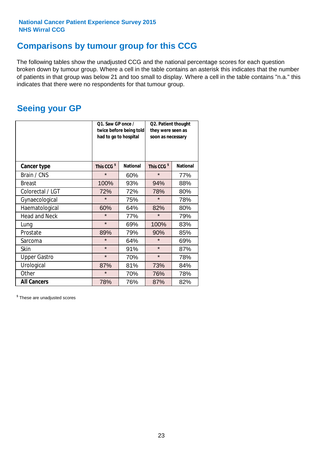### **Comparisons by tumour group for this CCG**

The following tables show the unadjusted CCG and the national percentage scores for each question broken down by tumour group. Where a cell in the table contains an asterisk this indicates that the number of patients in that group was below 21 and too small to display. Where a cell in the table contains "n.a." this indicates that there were no respondents for that tumour group.

### **Seeing your GP**

|                      | Q1. Saw GP once /<br>had to go to hospital | twice before being told | Q2. Patient thought<br>they were seen as<br>soon as necessary |                 |  |
|----------------------|--------------------------------------------|-------------------------|---------------------------------------------------------------|-----------------|--|
| <b>Cancer type</b>   | This CCG <sup>\$</sup>                     | <b>National</b>         | This CCG <sup>\$</sup>                                        | <b>National</b> |  |
| Brain / CNS          | $\star$                                    | 60%                     | $\star$                                                       | 77%             |  |
| <b>Breast</b>        | 100%                                       | 93%                     | 94%                                                           | 88%             |  |
| Colorectal / LGT     | 72%                                        | 72%                     | 78%                                                           | 80%             |  |
| Gynaecological       | $\star$                                    | 75%                     | $\star$                                                       | 78%             |  |
| Haematological       | 60%                                        | 64%                     | 82%                                                           | 80%             |  |
| <b>Head and Neck</b> | $\star$                                    | 77%                     | $\star$                                                       | 79%             |  |
| Lung                 | $\star$                                    | 69%                     | 100%                                                          | 83%             |  |
| Prostate             | 89%                                        | 79%                     | 90%                                                           | 85%             |  |
| Sarcoma              | $\star$                                    | 64%                     | $\star$                                                       | 69%             |  |
| Skin                 | $\star$                                    | 91%                     | $\star$                                                       | 87%             |  |
| <b>Upper Gastro</b>  | $\star$                                    | 70%                     | $\star$                                                       | 78%             |  |
| Urological           | 87%                                        | 81%                     | 73%                                                           | 84%             |  |
| Other                | $\star$                                    | 70%                     | 76%                                                           | 78%             |  |
| <b>All Cancers</b>   | 78%                                        | 76%                     | 87%                                                           | 82%             |  |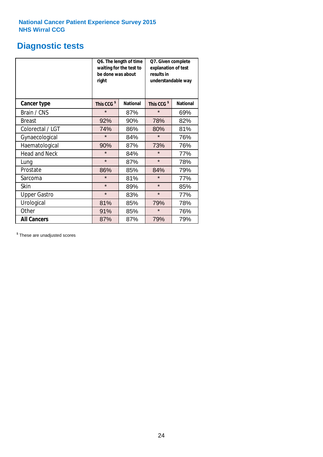### **Diagnostic tests**

|                      | be done was about<br>right | Q6. The length of time<br>waiting for the test to | Q7. Given complete<br>explanation of test<br>results in<br>understandable way |                 |  |
|----------------------|----------------------------|---------------------------------------------------|-------------------------------------------------------------------------------|-----------------|--|
| <b>Cancer type</b>   | This CCG <sup>\$</sup>     | <b>National</b>                                   | This CCG <sup>\$</sup>                                                        | <b>National</b> |  |
| Brain / CNS          | $\star$                    | 87%                                               | $\star$                                                                       | 69%             |  |
| <b>Breast</b>        | 92%                        | 90%                                               | 78%                                                                           | 82%             |  |
| Colorectal / LGT     | 74%                        | 86%                                               | 80%                                                                           | 81%             |  |
| Gynaecological       | $\star$                    | 84%                                               | $\star$                                                                       | 76%             |  |
| Haematological       | 90%                        | 87%                                               | 73%                                                                           | 76%             |  |
| <b>Head and Neck</b> | $\star$                    | 84%                                               | $\star$                                                                       | 77%             |  |
| Lung                 | $\star$                    | 87%                                               | $\star$                                                                       | 78%             |  |
| Prostate             | 86%                        | 85%                                               | 84%                                                                           | 79%             |  |
| Sarcoma              | $\star$                    | 81%                                               | $\star$                                                                       | 77%             |  |
| Skin                 | $\star$                    | 89%                                               | $\star$                                                                       | 85%             |  |
| <b>Upper Gastro</b>  | $\star$                    | 83%                                               | $\star$                                                                       | 77%             |  |
| Urological           | 81%                        | 85%                                               | 79%                                                                           | 78%             |  |
| Other                | 91%                        | 85%                                               | $\star$                                                                       | 76%             |  |
| <b>All Cancers</b>   | 87%                        | 87%                                               | 79%                                                                           | 79%             |  |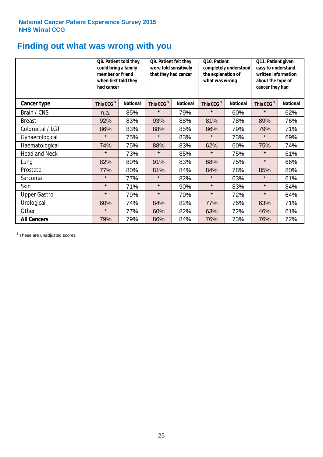### **Finding out what was wrong with you**

|                      | Q8. Patient told they<br>could bring a family<br>member or friend<br>when first told they<br>had cancer |                 | Q9. Patient felt they<br>were told sensitively<br>that they had cancer |                 | Q10. Patient<br>completely understood<br>the explanation of<br>what was wrong |                 | Q11. Patient given<br>easy to understand<br>written information<br>about the type of<br>cancer they had |                 |
|----------------------|---------------------------------------------------------------------------------------------------------|-----------------|------------------------------------------------------------------------|-----------------|-------------------------------------------------------------------------------|-----------------|---------------------------------------------------------------------------------------------------------|-----------------|
| <b>Cancer type</b>   | This CCG <sup>\$</sup>                                                                                  | <b>National</b> | This CCG <sup>\$</sup>                                                 | <b>National</b> | This CCG <sup>\$</sup>                                                        | <b>National</b> | This CCG <sup>\$</sup>                                                                                  | <b>National</b> |
| Brain / CNS          | n.a.                                                                                                    | 85%             | $\star$                                                                | 79%             | $\star$                                                                       | 60%             | $\star$                                                                                                 | 62%             |
| <b>Breast</b>        | 92%                                                                                                     | 83%             | 93%                                                                    | 88%             | 81%                                                                           | 78%             | 89%                                                                                                     | 76%             |
| Colorectal / LGT     | 86%                                                                                                     | 83%             | 88%                                                                    | 85%             | 86%                                                                           | 79%             | 79%                                                                                                     | 71%             |
| Gynaecological       | $\star$                                                                                                 | 75%             | $\star$                                                                | 83%             | $\star$                                                                       | 73%             | $\star$                                                                                                 | 69%             |
| Haematological       | 74%                                                                                                     | 75%             | 88%                                                                    | 83%             | 62%                                                                           | 60%             | 75%                                                                                                     | 74%             |
| <b>Head and Neck</b> | $\star$                                                                                                 | 73%             | $\star$                                                                | 85%             | $\star$                                                                       | 75%             | $\star$                                                                                                 | 61%             |
| Lung                 | 82%                                                                                                     | 80%             | 91%                                                                    | 83%             | 68%                                                                           | 75%             | $\star$                                                                                                 | 66%             |
| Prostate             | 77%                                                                                                     | 80%             | 81%                                                                    | 84%             | 84%                                                                           | 78%             | 85%                                                                                                     | 80%             |
| Sarcoma              | $\star$                                                                                                 | 77%             | $\star$                                                                | 82%             | $\star$                                                                       | 63%             | $\star$                                                                                                 | 61%             |
| Skin                 | $\star$                                                                                                 | 71%             | $\star$                                                                | 90%             | $\star$                                                                       | 83%             | $\star$                                                                                                 | 84%             |
| <b>Upper Gastro</b>  | $\star$                                                                                                 | 79%             | $\star$                                                                | 79%             | $\star$                                                                       | 72%             | $\star$                                                                                                 | 64%             |
| Urological           | 60%                                                                                                     | 74%             | 84%                                                                    | 82%             | 77%                                                                           | 76%             | 63%                                                                                                     | 71%             |
| Other                | $\star$                                                                                                 | 77%             | 60%                                                                    | 82%             | 63%                                                                           | 72%             | 46%                                                                                                     | 61%             |
| <b>All Cancers</b>   | 79%                                                                                                     | 79%             | 86%                                                                    | 84%             | 76%                                                                           | 73%             | 76%                                                                                                     | 72%             |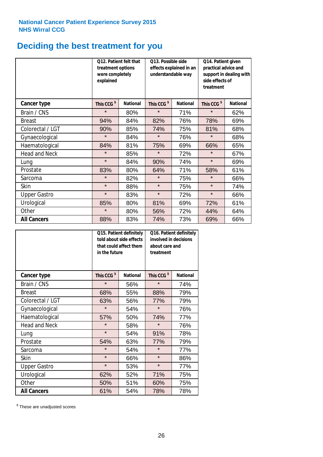# **Deciding the best treatment for you**

|                      | treatment options<br>were completely<br>explained | Q12. Patient felt that | Q13. Possible side<br>understandable way | effects explained in an | Q14. Patient given<br>practical advice and<br>support in dealing with<br>side effects of<br>treatment |                 |  |
|----------------------|---------------------------------------------------|------------------------|------------------------------------------|-------------------------|-------------------------------------------------------------------------------------------------------|-----------------|--|
| <b>Cancer type</b>   | This CCG <sup>\$</sup>                            | <b>National</b>        | This CCG <sup>\$</sup>                   | <b>National</b>         | This CCG <sup>\$</sup>                                                                                | <b>National</b> |  |
| Brain / CNS          | $\star$                                           | 80%                    | $\star$                                  | 71%                     | $\star$                                                                                               | 62%             |  |
| <b>Breast</b>        | 94%                                               | 84%                    | 82%                                      | 76%                     | 78%                                                                                                   | 69%             |  |
| Colorectal / LGT     | 90%                                               | 85%                    | 74%                                      | 75%                     | 81%                                                                                                   | 68%             |  |
| Gynaecological       | $\star$                                           | 84%                    | $\star$                                  | 76%                     | $\star$                                                                                               | 68%             |  |
| Haematological       | 84%                                               | 81%                    | 75%                                      | 69%                     | 66%                                                                                                   | 65%             |  |
| <b>Head and Neck</b> | $\star$                                           | 85%                    | $\star$                                  | 72%                     | $\star$                                                                                               | 67%             |  |
| Lung                 | $\star$                                           | 84%                    | 90%                                      | 74%                     | $\star$                                                                                               | 69%             |  |
| Prostate             | 83%                                               | 80%                    | 64%                                      | 71%                     | 58%                                                                                                   | 61%             |  |
| Sarcoma              | $\star$                                           | 82%                    | $\star$                                  | 75%                     | $\star$                                                                                               | 66%             |  |
| Skin                 | $\star$                                           | 88%                    | $\star$                                  | 75%                     | $\star$                                                                                               | 74%             |  |
| <b>Upper Gastro</b>  | $\star$                                           | 83%                    | $\star$                                  | 72%                     | $\star$                                                                                               | 66%             |  |
| Urological           | 85%                                               | 80%                    | 81%                                      | 69%                     | 72%                                                                                                   | 61%             |  |
| Other                | $\star$                                           | 80%                    | 56%                                      | 72%                     | 44%                                                                                                   | 64%             |  |
| <b>All Cancers</b>   | 88%                                               | 83%                    | 74%                                      | 73%                     | 69%                                                                                                   | 66%             |  |

|                      | in the future          | Q15. Patient definitely<br>told about side effects<br>that could affect them | Q16. Patient definitely<br>involved in decisions<br>about care and<br>treatment |                 |  |
|----------------------|------------------------|------------------------------------------------------------------------------|---------------------------------------------------------------------------------|-----------------|--|
| <b>Cancer type</b>   | This CCG <sup>\$</sup> | <b>National</b>                                                              | This CCG <sup>\$</sup>                                                          | <b>National</b> |  |
| Brain / CNS          | $\star$                | 56%                                                                          | $\star$                                                                         | 74%             |  |
| <b>Breast</b>        | 68%                    | 55%                                                                          | 88%                                                                             | 79%             |  |
| Colorectal / LGT     | 63%                    | 56%                                                                          | 77%                                                                             | 79%             |  |
| Gynaecological       | $\star$                | 54%                                                                          | $\star$                                                                         | 76%             |  |
| Haematological       | 57%                    | 50%                                                                          |                                                                                 | 77%             |  |
| <b>Head and Neck</b> | $\star$                | 58%                                                                          | $\star$                                                                         | 76%             |  |
| Lung                 | $\star$                | 54%                                                                          | 91%                                                                             | 78%             |  |
| Prostate             | 54%                    | 63%                                                                          | 77%                                                                             | 79%             |  |
| Sarcoma              | $\star$                | 54%                                                                          | $\star$                                                                         | 77%             |  |
| <b>Skin</b>          | $\star$                | 66%                                                                          | $\star$                                                                         | 86%             |  |
| <b>Upper Gastro</b>  | $\star$                | 53%                                                                          | $\star$                                                                         | 77%             |  |
| Urological           | 62%                    | 52%                                                                          | 71%                                                                             | 75%             |  |
| Other                | 50%                    | 51%                                                                          | 60%                                                                             | 75%             |  |
| <b>All Cancers</b>   | 61%                    | 54%                                                                          | 78%                                                                             | 78%             |  |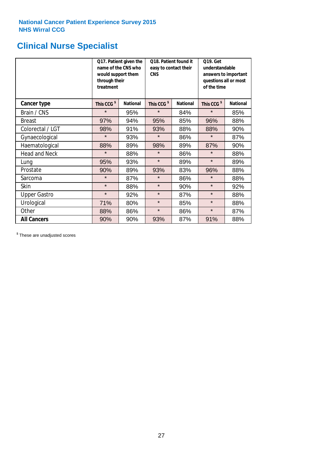# **Clinical Nurse Specialist**

|                      | would support them<br>through their<br>treatment | Q17. Patient given the<br>name of the CNS who | Q18. Patient found it<br>easy to contact their<br><b>CNS</b> |                 | <b>Q19. Get</b><br>understandable<br>answers to important<br>questions all or most<br>of the time |                 |  |
|----------------------|--------------------------------------------------|-----------------------------------------------|--------------------------------------------------------------|-----------------|---------------------------------------------------------------------------------------------------|-----------------|--|
| <b>Cancer type</b>   | This CCG <sup>\$</sup>                           | <b>National</b>                               | This CCG <sup>\$</sup>                                       | <b>National</b> | This CCG <sup>\$</sup>                                                                            | <b>National</b> |  |
| Brain / CNS          | $\star$                                          | 95%                                           | $\star$                                                      | 84%             | $\star$                                                                                           | 85%             |  |
| <b>Breast</b>        | 97%                                              | 94%                                           | 95%                                                          | 85%             | 96%                                                                                               | 88%             |  |
| Colorectal / LGT     | 98%                                              | 91%                                           | 93%                                                          | 88%             | 88%                                                                                               | 90%             |  |
| Gynaecological       | $\star$                                          | 93%                                           | $\star$                                                      | 86%             | $\star$                                                                                           | 87%             |  |
| Haematological       | 88%                                              | 89%                                           | 98%                                                          | 89%             | 87%                                                                                               | 90%             |  |
| <b>Head and Neck</b> | $\star$                                          | 88%                                           | $\star$                                                      | 86%             | $\star$                                                                                           | 88%             |  |
| Lung                 | 95%                                              | 93%                                           | $\star$                                                      | 89%             | $\star$                                                                                           | 89%             |  |
| Prostate             | 90%                                              | 89%                                           | 93%                                                          | 83%             | 96%                                                                                               | 88%             |  |
| Sarcoma              | $\star$                                          | 87%                                           | $\star$                                                      | 86%             | $\star$                                                                                           | 88%             |  |
| Skin                 | $\star$                                          | 88%                                           | $\star$                                                      | 90%             | $\star$                                                                                           | 92%             |  |
| <b>Upper Gastro</b>  | $\star$                                          | 92%                                           | $\star$                                                      | 87%             | $\star$                                                                                           | 88%             |  |
| Urological           | 71%                                              | 80%                                           | $\star$                                                      | 85%             | $\star$                                                                                           | 88%             |  |
| Other                | 88%                                              | 86%                                           | $\star$                                                      | 86%             | $\star$                                                                                           | 87%             |  |
| <b>All Cancers</b>   | 90%                                              | 90%                                           | 93%                                                          | 87%             | 91%                                                                                               | 88%             |  |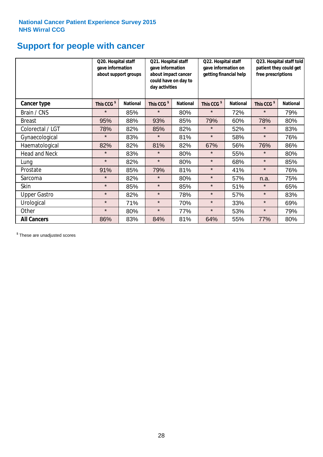# **Support for people with cancer**

|                      | Q20. Hospital staff<br>gave information | about support groups | Q21. Hospital staff<br>gave information<br>about impact cancer<br>could have on day to<br>day activities |                 | Q22. Hospital staff<br>gave information on<br>getting financial help |                 | Q23. Hospital staff told<br>patient they could get<br>free prescriptions |                 |
|----------------------|-----------------------------------------|----------------------|----------------------------------------------------------------------------------------------------------|-----------------|----------------------------------------------------------------------|-----------------|--------------------------------------------------------------------------|-----------------|
| <b>Cancer type</b>   | This CCG <sup>\$</sup>                  | <b>National</b>      | This CCG <sup>\$</sup>                                                                                   | <b>National</b> | This CCG <sup>\$</sup>                                               | <b>National</b> | This CCG <sup>\$</sup>                                                   | <b>National</b> |
| Brain / CNS          | $\star$                                 | 85%                  | $\star$                                                                                                  | 80%             | $\star$                                                              | 72%             | $\star$                                                                  | 79%             |
| <b>Breast</b>        | 95%                                     | 88%                  | 93%                                                                                                      | 85%             | 79%                                                                  | 60%             | 78%                                                                      | 80%             |
| Colorectal / LGT     | 78%                                     | 82%                  | 85%                                                                                                      | 82%             | $\star$                                                              | 52%             | $\star$                                                                  | 83%             |
| Gynaecological       | $\star$                                 | 83%                  | $\star$                                                                                                  | 81%             | $\star$                                                              | 58%             | $\star$                                                                  | 76%             |
| Haematological       | 82%                                     | 82%                  | 81%                                                                                                      | 82%             | 67%                                                                  | 56%             | 76%                                                                      | 86%             |
| <b>Head and Neck</b> | $\star$                                 | 83%                  | $\star$                                                                                                  | 80%             | $^\star$                                                             | 55%             | $\star$                                                                  | 80%             |
| Lung                 | $\star$                                 | 82%                  | $\star$                                                                                                  | 80%             | $\star$                                                              | 68%             | $\star$                                                                  | 85%             |
| Prostate             | 91%                                     | 85%                  | 79%                                                                                                      | 81%             | $\star$                                                              | 41%             | $\star$                                                                  | 76%             |
| Sarcoma              | $\star$                                 | 82%                  | $\star$                                                                                                  | 80%             | $\star$                                                              | 57%             | n.a.                                                                     | 75%             |
| Skin                 | $\star$                                 | 85%                  | $\star$                                                                                                  | 85%             | $\star$                                                              | 51%             | $\star$                                                                  | 65%             |
| <b>Upper Gastro</b>  | $\star$                                 | 82%                  | $\star$                                                                                                  | 78%             | $\star$                                                              | 57%             | $\star$                                                                  | 83%             |
| Urological           | $\star$                                 | 71%                  | $\star$                                                                                                  | 70%             | $\star$                                                              | 33%             | $\star$                                                                  | 69%             |
| Other                | $\star$                                 | 80%                  | $\star$                                                                                                  | 77%             | $\star$                                                              | 53%             | $\star$                                                                  | 79%             |
| <b>All Cancers</b>   | 86%                                     | 83%                  | 84%                                                                                                      | 81%             | 64%                                                                  | 55%             | 77%                                                                      | 80%             |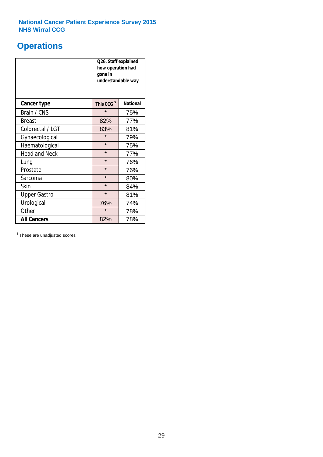### **Operations**

|                      | Q26. Staff explained<br>how operation had<br>gone in<br>understandable way |                 |  |  |  |
|----------------------|----------------------------------------------------------------------------|-----------------|--|--|--|
| <b>Cancer type</b>   | This CCG <sup>\$</sup>                                                     | <b>National</b> |  |  |  |
| Brain / CNS          | $\star$                                                                    | 75%             |  |  |  |
| <b>Breast</b>        | 82%                                                                        | 77%             |  |  |  |
| Colorectal / LGT     | 83%                                                                        | 81%             |  |  |  |
| Gynaecological       | $\star$                                                                    | 79%             |  |  |  |
| Haematological       | $\star$                                                                    | 75%             |  |  |  |
| <b>Head and Neck</b> | $\star$                                                                    | 77%             |  |  |  |
| Lung                 | $\star$                                                                    | 76%             |  |  |  |
| Prostate             | $\star$                                                                    | 76%             |  |  |  |
| Sarcoma              | $\star$                                                                    | 80%             |  |  |  |
| Skin                 | $\star$                                                                    | 84%             |  |  |  |
| <b>Upper Gastro</b>  | $\star$                                                                    | 81%             |  |  |  |
| Urological           | 76%                                                                        | 74%             |  |  |  |
| Other                | $\star$                                                                    | 78%             |  |  |  |
| <b>All Cancers</b>   | 82%                                                                        | 78%             |  |  |  |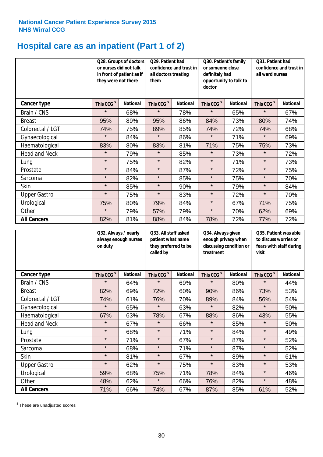# **Hospital care as an inpatient (Part 1 of 2)**

|                      | or nurses did not talk<br>they were not there | Q28. Groups of doctors<br>in front of patient as if | Q29. Patient had<br>confidence and trust in<br>all doctors treating<br>them |                 | Q30. Patient's family<br>or someone close<br>definitely had<br>opportunity to talk to<br>doctor |                 | Q31. Patient had<br>confidence and trust in<br>all ward nurses |                 |
|----------------------|-----------------------------------------------|-----------------------------------------------------|-----------------------------------------------------------------------------|-----------------|-------------------------------------------------------------------------------------------------|-----------------|----------------------------------------------------------------|-----------------|
| Cancer type          | This CCG <sup>\$</sup>                        | <b>National</b>                                     | This CCG <sup>\$</sup>                                                      | <b>National</b> | This CCG <sup>\$</sup>                                                                          | <b>National</b> | This CCG <sup>\$</sup>                                         | <b>National</b> |
| Brain / CNS          | $\star$                                       | 68%                                                 | $\star$                                                                     | 78%             | $\star$                                                                                         | 65%             | $\star$                                                        | 67%             |
| <b>Breast</b>        | 95%                                           | 89%                                                 | 95%                                                                         | 86%             | 84%                                                                                             | 73%             | 80%                                                            | 74%             |
| Colorectal / LGT     | 74%                                           | 75%                                                 | 89%                                                                         | 85%             | 74%                                                                                             | 72%             | 74%                                                            | 68%             |
| Gynaecological       | $\star$                                       | 84%                                                 | $\star$                                                                     | 86%             | $\star$                                                                                         | 71%             | $\star$                                                        | 69%             |
| Haematological       | 83%                                           | 80%                                                 | 83%                                                                         | 81%             | 71%                                                                                             | 75%             | 75%                                                            | 73%             |
| <b>Head and Neck</b> | $\star$                                       | 79%                                                 | $\star$                                                                     | 85%             | $\star$                                                                                         | 73%             | $\star$                                                        | 72%             |
| Lung                 | $\star$                                       | 75%                                                 | $\star$                                                                     | 82%             | $\star$                                                                                         | 71%             | $\star$                                                        | 73%             |
| Prostate             | $\star$                                       | 84%                                                 | $\star$                                                                     | 87%             | $\star$                                                                                         | 72%             | $\star$                                                        | 75%             |
| Sarcoma              | $\star$                                       | 82%                                                 | $\star$                                                                     | 85%             | $\star$                                                                                         | 75%             | $\star$                                                        | 70%             |
| Skin                 | $\star$                                       | 85%                                                 | $\star$                                                                     | 90%             | $\star$                                                                                         | 79%             | $\star$                                                        | 84%             |
| <b>Upper Gastro</b>  | $\star$                                       | 75%                                                 | $\star$                                                                     | 83%             | $\star$                                                                                         | 72%             | $\star$                                                        | 70%             |
| Urological           | 75%                                           | 80%                                                 | 79%                                                                         | 84%             | $\star$                                                                                         | 67%             | 71%                                                            | 75%             |
| Other                | $\star$                                       | 79%                                                 | 57%                                                                         | 79%             | $\star$                                                                                         | 70%             | 62%                                                            | 69%             |
| <b>All Cancers</b>   | 82%                                           | 81%                                                 | 88%                                                                         | 84%             | 78%                                                                                             | 72%             | 77%                                                            | 72%             |

|                      | Q32. Always / nearly<br>always enough nurses<br>on duty | Q33. All staff asked<br>patient what name<br>they preferred to be<br>called by |                        | Q34. Always given<br>treatment | enough privacy when<br>discussing condition or | Q35. Patient was able<br>to discuss worries or<br>fears with staff during<br>visit |                        |                 |
|----------------------|---------------------------------------------------------|--------------------------------------------------------------------------------|------------------------|--------------------------------|------------------------------------------------|------------------------------------------------------------------------------------|------------------------|-----------------|
| <b>Cancer type</b>   | This CCG <sup>\$</sup>                                  | <b>National</b>                                                                | This CCG <sup>\$</sup> | <b>National</b>                | This CCG <sup>\$</sup>                         | <b>National</b>                                                                    | This CCG <sup>\$</sup> | <b>National</b> |
| Brain / CNS          | $\star$                                                 | 64%                                                                            | $\star$                | 69%                            | $\star$                                        | 80%                                                                                | $\star$                | 44%             |
| <b>Breast</b>        | 82%                                                     | 69%                                                                            | 72%                    | 60%                            | 90%                                            | 86%                                                                                | 73%                    | 53%             |
| Colorectal / LGT     | 74%                                                     | 61%                                                                            | 76%                    | 70%                            | 89%                                            | 84%                                                                                | 56%                    | 54%             |
| Gynaecological       | $\star$                                                 | 65%                                                                            | $\star$                | 63%                            | $\star$                                        | 82%                                                                                | $\star$                | 50%             |
| Haematological       | 67%                                                     | 63%                                                                            | 78%                    | 67%                            | 88%                                            | 86%                                                                                | 43%                    | 55%             |
| <b>Head and Neck</b> | $\star$                                                 | 67%                                                                            | $\star$                | 66%                            | $\star$                                        | 85%                                                                                | $\star$                | 50%             |
| Lung                 | $\star$                                                 | 68%                                                                            | $\star$                | 71%                            | $\star$                                        | 84%                                                                                | $\star$                | 49%             |
| Prostate             | $\star$                                                 | 71%                                                                            | $\star$                | 67%                            | $\star$                                        | 87%                                                                                | $\star$                | 52%             |
| Sarcoma              | $\star$                                                 | 68%                                                                            | $\star$                | 71%                            | $\star$                                        | 87%                                                                                | $\star$                | 52%             |
| Skin                 | $\star$                                                 | 81%                                                                            | $\star$                | 67%                            | $\star$                                        | 89%                                                                                | $\star$                | 61%             |
| <b>Upper Gastro</b>  | $\star$                                                 | 62%                                                                            | $\star$                | 75%                            | $\star$                                        | 83%                                                                                | $\star$                | 53%             |
| Urological           | 59%                                                     | 68%                                                                            | 75%                    | 71%                            | 78%                                            | 84%                                                                                | $\star$                | 46%             |
| Other                | 48%                                                     | 62%                                                                            | $\star$                | 66%                            | 76%                                            | 82%                                                                                | $\star$                | 48%             |
| <b>All Cancers</b>   | 71%                                                     | 66%                                                                            | 74%                    | 67%                            | 87%                                            | 85%                                                                                | 61%                    | 52%             |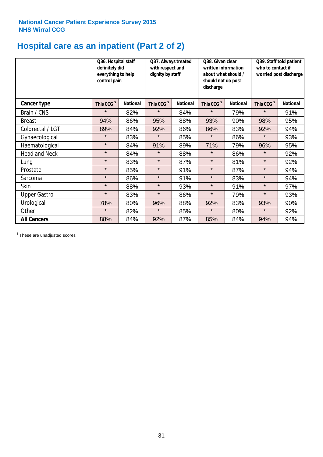# **Hospital care as an inpatient (Part 2 of 2)**

|                      | Q36. Hospital staff<br>definitely did<br>everything to help<br>control pain |                 | Q37. Always treated<br>with respect and<br>dignity by staff |                 | Q38. Given clear<br>written information<br>about what should /<br>should not do post<br>discharge |                 | Q39. Staff told patient<br>who to contact if<br>worried post discharge |                 |
|----------------------|-----------------------------------------------------------------------------|-----------------|-------------------------------------------------------------|-----------------|---------------------------------------------------------------------------------------------------|-----------------|------------------------------------------------------------------------|-----------------|
| Cancer type          | This CCG <sup>\$</sup>                                                      | <b>National</b> | This CCG <sup>\$</sup>                                      | <b>National</b> | This CCG <sup>\$</sup>                                                                            | <b>National</b> | This CCG <sup>\$</sup>                                                 | <b>National</b> |
| Brain / CNS          | $\star$                                                                     | 82%             | $\star$                                                     | 84%             | $\star$                                                                                           | 79%             | $\star$                                                                | 91%             |
| <b>Breast</b>        | 94%                                                                         | 86%             | 95%                                                         | 88%             | 93%                                                                                               | 90%             | 98%                                                                    | 95%             |
| Colorectal / LGT     | 89%                                                                         | 84%             | 92%                                                         | 86%             | 86%                                                                                               | 83%             | 92%                                                                    | 94%             |
| Gynaecological       | $\star$                                                                     | 83%             | $\star$                                                     | 85%             | $\star$                                                                                           | 86%             | $\star$                                                                | 93%             |
| Haematological       | $\star$                                                                     | 84%             | 91%                                                         | 89%             | 71%                                                                                               | 79%             | 96%                                                                    | 95%             |
| <b>Head and Neck</b> | $\star$                                                                     | 84%             | $\star$                                                     | 88%             | $\star$                                                                                           | 86%             | $\star$                                                                | 92%             |
| Lung                 | $\star$                                                                     | 83%             | $\star$                                                     | 87%             | $\star$                                                                                           | 81%             | $\star$                                                                | 92%             |
| Prostate             | $\star$                                                                     | 85%             | $\star$                                                     | 91%             | $\star$                                                                                           | 87%             | $\star$                                                                | 94%             |
| Sarcoma              | $\star$                                                                     | 86%             | $\star$                                                     | 91%             | $\star$                                                                                           | 83%             | $\star$                                                                | 94%             |
| Skin                 | $\star$                                                                     | 88%             | $\star$                                                     | 93%             | $\star$                                                                                           | 91%             | $\star$                                                                | 97%             |
| <b>Upper Gastro</b>  | $\star$                                                                     | 83%             | $\star$                                                     | 86%             | $\star$                                                                                           | 79%             | $\star$                                                                | 93%             |
| Urological           | 78%                                                                         | 80%             | 96%                                                         | 88%             | 92%                                                                                               | 83%             | 93%                                                                    | 90%             |
| Other                | $\star$                                                                     | 82%             | $\star$                                                     | 85%             | $\star$                                                                                           | 80%             | $\star$                                                                | 92%             |
| <b>All Cancers</b>   | 88%                                                                         | 84%             | 92%                                                         | 87%             | 85%                                                                                               | 84%             | 94%                                                                    | 94%             |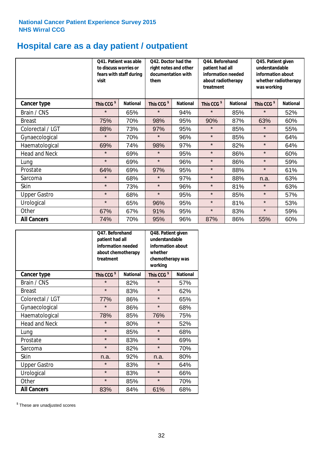# **Hospital care as a day patient / outpatient**

|                      | to discuss worries or<br>visit | Q41. Patient was able<br>fears with staff during | Q42. Doctor had the<br>right notes and other<br>documentation with<br>them |                 | Q44. Beforehand<br>patient had all<br>information needed<br>about radiotherapy<br>treatment |                 | Q45. Patient given<br>understandable<br>information about<br>whether radiotherapy<br>was working |                 |
|----------------------|--------------------------------|--------------------------------------------------|----------------------------------------------------------------------------|-----------------|---------------------------------------------------------------------------------------------|-----------------|--------------------------------------------------------------------------------------------------|-----------------|
| <b>Cancer type</b>   | This CCG <sup>\$</sup>         | <b>National</b>                                  | This CCG <sup>\$</sup>                                                     | <b>National</b> | This CCG <sup>\$</sup>                                                                      | <b>National</b> | This CCG <sup>\$</sup>                                                                           | <b>National</b> |
| Brain / CNS          | $\star$                        | 65%                                              | $\star$                                                                    | 94%             | $\star$                                                                                     | 85%             | $\star$                                                                                          | 52%             |
| <b>Breast</b>        | 75%                            | 70%                                              | 98%                                                                        | 95%             | 90%                                                                                         | 87%             | 63%                                                                                              | 60%             |
| Colorectal / LGT     | 88%                            | 73%                                              | 97%                                                                        | 95%             | $\star$                                                                                     | 85%             | $\star$                                                                                          | 55%             |
| Gynaecological       | $\star$                        | 70%                                              | $\star$                                                                    | 96%             | $\star$                                                                                     | 85%             | $\star$                                                                                          | 64%             |
| Haematological       | 69%                            | 74%                                              | 98%                                                                        | 97%             | $\star$                                                                                     | 82%             | $\star$                                                                                          | 64%             |
| <b>Head and Neck</b> | $\star$                        | 69%                                              | $\star$                                                                    | 95%             | $\star$                                                                                     | 86%             | $\star$                                                                                          | 60%             |
| Lung                 | $\star$                        | 69%                                              | $\star$                                                                    | 96%             | $\star$                                                                                     | 86%             | $\star$                                                                                          | 59%             |
| Prostate             | 64%                            | 69%                                              | 97%                                                                        | 95%             | $\star$                                                                                     | 88%             | $\star$                                                                                          | 61%             |
| Sarcoma              | $\star$                        | 68%                                              | $\star$                                                                    | 97%             | $\star$                                                                                     | 88%             | n.a.                                                                                             | 63%             |
| Skin                 | $\star$                        | 73%                                              | $\star$                                                                    | 96%             | $\star$                                                                                     | 81%             | $\star$                                                                                          | 63%             |
| <b>Upper Gastro</b>  | $\star$                        | 68%                                              | $\star$                                                                    | 95%             | $\star$                                                                                     | 85%             | $\star$                                                                                          | 57%             |
| Urological           | $\star$                        | 65%                                              | 96%                                                                        | 95%             | $\star$                                                                                     | 81%             | $\star$                                                                                          | 53%             |
| Other                | 67%                            | 67%                                              | 91%                                                                        | 95%             | $\star$                                                                                     | 83%             | $\star$                                                                                          | 59%             |
| <b>All Cancers</b>   | 74%                            | 70%                                              | 95%                                                                        | 96%             | 87%                                                                                         | 86%             | 55%                                                                                              | 60%             |

|                      | O47. Beforehand<br>patient had all<br>information needed<br>treatment | about chemotherapy | whether<br>working     | Q48. Patient given<br>understandable<br>information about<br>chemotherapy was |  |  |
|----------------------|-----------------------------------------------------------------------|--------------------|------------------------|-------------------------------------------------------------------------------|--|--|
| <b>Cancer type</b>   | This CCG <sup>\$</sup>                                                | <b>National</b>    | This CCG <sup>\$</sup> | <b>National</b>                                                               |  |  |
| Brain / CNS          | $\star$                                                               | 82%                | $\star$                | 57%                                                                           |  |  |
| <b>Breast</b>        | $\star$                                                               | 83%                | $\star$                | 62%                                                                           |  |  |
| Colorectal / LGT     | 77%                                                                   | 86%                | $\star$                | 65%                                                                           |  |  |
| Gynaecological       | $\star$                                                               | 86%                | $\star$                | 68%                                                                           |  |  |
| Haematological       | 78%                                                                   | 85%                | 76%                    | 75%                                                                           |  |  |
| <b>Head and Neck</b> | $\star$                                                               | 80%                | $\star$                | 52%                                                                           |  |  |
| Lung                 | $\star$                                                               | 85%                | $\star$                | 68%                                                                           |  |  |
| Prostate             | $\star$                                                               | 83%                | $\star$                | 69%                                                                           |  |  |
| Sarcoma              | $\star$                                                               | 82%                | $\star$                | 70%                                                                           |  |  |
| Skin                 | n.a.                                                                  | 92%                | n.a.                   | 80%                                                                           |  |  |
| <b>Upper Gastro</b>  | $\star$                                                               | 83%                | $\star$                | 64%                                                                           |  |  |
| Urological           | $\star$                                                               | 83%                | $\star$                | 66%                                                                           |  |  |
| Other                | $\star$                                                               | 85%                | $\star$                | 70%                                                                           |  |  |
| <b>All Cancers</b>   | 83%                                                                   | 84%                | 61%                    | 68%                                                                           |  |  |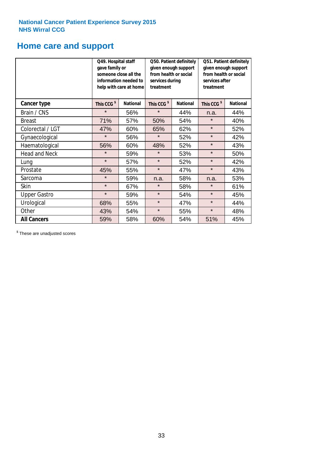### **Home care and support**

|                      | Q49. Hospital staff<br>gave family or | someone close all the<br>information needed to<br>help with care at home | Q50. Patient definitely<br>given enough support<br>from health or social<br>services during<br>treatment |                 | Q51. Patient definitely<br>given enough support<br>from health or social<br>services after<br>treatment |                 |
|----------------------|---------------------------------------|--------------------------------------------------------------------------|----------------------------------------------------------------------------------------------------------|-----------------|---------------------------------------------------------------------------------------------------------|-----------------|
| <b>Cancer type</b>   | This CCG <sup>\$</sup>                | <b>National</b>                                                          | This CCG <sup>\$</sup>                                                                                   | <b>National</b> | This CCG <sup>\$</sup>                                                                                  | <b>National</b> |
| Brain / CNS          | $\star$                               | 56%                                                                      | $\star$                                                                                                  | 44%             | n.a.                                                                                                    | 44%             |
| <b>Breast</b>        | 71%                                   | 57%                                                                      | 50%                                                                                                      | 54%             | $\star$                                                                                                 | 40%             |
| Colorectal / LGT     | 47%                                   | 60%                                                                      | 65%                                                                                                      | 62%             | $\star$                                                                                                 | 52%             |
| Gynaecological       | $\star$                               | 56%                                                                      | $\star$                                                                                                  | 52%             | $\star$                                                                                                 | 42%             |
| Haematological       | 56%                                   | 60%                                                                      | 48%                                                                                                      | 52%             | $\star$                                                                                                 | 43%             |
| <b>Head and Neck</b> | $\star$                               | 59%                                                                      | $\star$                                                                                                  | 53%             | $\star$                                                                                                 | 50%             |
| Lung                 | $\star$                               | 57%                                                                      | $\star$                                                                                                  | 52%             | $\star$                                                                                                 | 42%             |
| Prostate             | 45%                                   | 55%                                                                      | $\star$                                                                                                  | 47%             | $\star$                                                                                                 | 43%             |
| Sarcoma              | $\star$                               | 59%                                                                      | n.a.                                                                                                     | 58%             | n.a.                                                                                                    | 53%             |
| Skin                 | $\star$                               | 67%                                                                      | $\star$                                                                                                  | 58%             | $\star$                                                                                                 | 61%             |
| <b>Upper Gastro</b>  | $\star$                               | 59%                                                                      | $\star$                                                                                                  | 54%             | $\star$                                                                                                 | 45%             |
| Urological           | 68%                                   | 55%                                                                      | $\star$                                                                                                  | 47%             | $\star$                                                                                                 | 44%             |
| Other                | 43%                                   | 54%                                                                      | $\star$                                                                                                  | 55%             | $\star$                                                                                                 | 48%             |
| <b>All Cancers</b>   | 59%                                   | 58%                                                                      | 60%                                                                                                      | 54%             | 51%                                                                                                     | 45%             |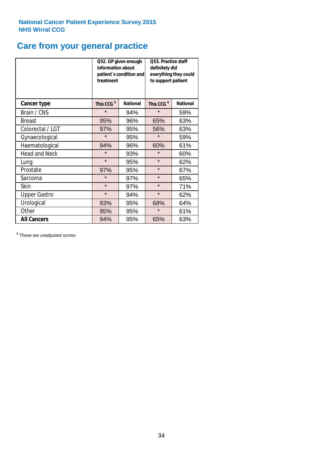# **Care from your general practice**

|                      | information about<br>treatment | Q52. GP given enough<br>patient's condition and | <b>O53. Practice staff</b><br>definitely did<br>everything they could<br>to support patient |                 |  |
|----------------------|--------------------------------|-------------------------------------------------|---------------------------------------------------------------------------------------------|-----------------|--|
| <b>Cancer type</b>   | This CCG <sup>\$</sup>         | <b>National</b>                                 | This CCG <sup>\$</sup>                                                                      | <b>National</b> |  |
| Brain / CNS          | $\star$                        | 94%                                             | $\star$                                                                                     | 59%             |  |
| <b>Breast</b>        | 95%                            | 96%                                             | 65%                                                                                         | 63%             |  |
| Colorectal / LGT     | 97%                            | 95%                                             | 56%                                                                                         | 63%             |  |
| Gynaecological       | $\star$                        | 95%                                             | $\star$                                                                                     | 59%             |  |
| Haematological       | 94%                            | 96%                                             | 60%                                                                                         | 61%             |  |
| <b>Head and Neck</b> | $\star$                        | 93%                                             | $\star$                                                                                     | 60%             |  |
| Lung                 | $\star$                        | 95%                                             | $\star$                                                                                     | 62%             |  |
| Prostate             | 97%                            | 95%                                             | $\star$                                                                                     | 67%             |  |
| Sarcoma              | $\star$                        | 97%                                             | $\star$                                                                                     | 65%             |  |
| Skin                 | $\star$                        | 97%                                             | $\star$                                                                                     | 71%             |  |
| <b>Upper Gastro</b>  | $\star$                        | 94%                                             | $\star$                                                                                     | 62%             |  |
| Urological           | 93%                            | 95%                                             | 68%                                                                                         | 64%             |  |
| Other                | 95%                            | 95%                                             | $\star$                                                                                     | 61%             |  |
| <b>All Cancers</b>   | 94%                            | 95%                                             | 65%                                                                                         | 63%             |  |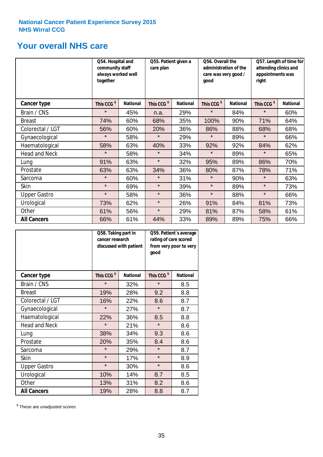### **Your overall NHS care**

|                      | Q54. Hospital and<br>community staff<br>always worked well<br>together |                 | Q55. Patient given a<br>care plan |                 | Q56. Overall the<br>administration of the<br>care was very good /<br>qood |                 | Q57. Length of time for<br>attending clinics and<br>appointments was<br>right |                 |
|----------------------|------------------------------------------------------------------------|-----------------|-----------------------------------|-----------------|---------------------------------------------------------------------------|-----------------|-------------------------------------------------------------------------------|-----------------|
| <b>Cancer type</b>   | This CCG <sup>\$</sup>                                                 | <b>National</b> | This CCG <sup>\$</sup>            | <b>National</b> | This CCG <sup>\$</sup>                                                    | <b>National</b> | This CCG <sup>\$</sup>                                                        | <b>National</b> |
| Brain / CNS          | $\star$                                                                | 45%             | n.a.                              | 29%             | $\star$                                                                   | 84%             | $\star$                                                                       | 60%             |
| <b>Breast</b>        | 74%                                                                    | 60%             | 68%                               | 35%             | 100%                                                                      | 90%             | 71%                                                                           | 64%             |
| Colorectal / LGT     | 56%                                                                    | 60%             | 20%                               | 36%             | 86%                                                                       | 88%             | 68%                                                                           | 68%             |
| Gynaecological       | $\star$                                                                | 58%             | $\star$                           | 29%             | $\star$                                                                   | 89%             | $\star$                                                                       | 66%             |
| Haematological       | 58%                                                                    | 63%             | 40%                               | 33%             | 92%                                                                       | 92%             | 84%                                                                           | 62%             |
| <b>Head and Neck</b> | $\star$                                                                | 58%             | $\star$                           | 34%             | $\star$                                                                   | 89%             | $\star$                                                                       | 65%             |
| Lung                 | 91%                                                                    | 63%             | $\star$                           | 32%             | 95%                                                                       | 89%             | 86%                                                                           | 70%             |
| Prostate             | 63%                                                                    | 63%             | 34%                               | 36%             | 80%                                                                       | 87%             | 78%                                                                           | 71%             |
| Sarcoma              | $\star$                                                                | 60%             | $\star$                           | 31%             | $\star$                                                                   | 90%             | $\star$                                                                       | 63%             |
| Skin                 | $\star$                                                                | 69%             | $\star$                           | 39%             | $\star$                                                                   | 89%             | $\star$                                                                       | 73%             |
| <b>Upper Gastro</b>  | $\star$                                                                | 58%             | $\star$                           | 36%             | $\star$                                                                   | 88%             | $\star$                                                                       | 66%             |
| Urological           | 73%                                                                    | 62%             | $\star$                           | 26%             | 91%                                                                       | 84%             | 81%                                                                           | 73%             |
| Other                | 61%                                                                    | 56%             | $\star$                           | 29%             | 81%                                                                       | 87%             | 58%                                                                           | 61%             |
| <b>All Cancers</b>   | 66%                                                                    | 61%             | 44%                               | 33%             | 89%                                                                       | 89%             | 75%                                                                           | 66%             |

|                      | Q58. Taking part in<br>cancer research | discussed with patient | Q59. Patient's average<br>rating of care scored<br>from very poor to very<br>good |                 |  |
|----------------------|----------------------------------------|------------------------|-----------------------------------------------------------------------------------|-----------------|--|
| <b>Cancer type</b>   | This CCG <sup>\$</sup>                 | <b>National</b>        | This CCG <sup>\$</sup>                                                            | <b>National</b> |  |
| Brain / CNS          | $\star$                                | 32%                    | $\star$                                                                           | 8.5             |  |
| <b>Breast</b>        | 19%                                    | 28%                    | 9.2                                                                               | 8.8             |  |
| Colorectal / LGT     | 16%                                    | 22%                    | 8.6                                                                               | 8.7             |  |
| Gynaecological       | $\star$                                | 27%                    | $\star$                                                                           | 8.7             |  |
| Haematological       | 22%                                    | 36%                    | 8.5                                                                               | 8.8             |  |
| <b>Head and Neck</b> | $\star$                                | 21%                    | $\star$                                                                           | 8.6             |  |
| Lung                 | 38%                                    | 34%                    | 9.3                                                                               | 8.6             |  |
| Prostate             | 20%                                    | 35%                    | 8.4                                                                               | 8.6             |  |
| Sarcoma              | $\star$                                | 29%                    | $\star$                                                                           | 8.7             |  |
| <b>Skin</b>          | $\star$                                | 17%                    | $\star$                                                                           | 8.9             |  |
| <b>Upper Gastro</b>  | $\star$                                | 30%                    | $\star$                                                                           | 8.6             |  |
| Urological           | 10%                                    | 14%                    | 8.7                                                                               | 8.5             |  |
| Other                | 13%                                    | 31%                    | 8.2                                                                               | 8.6             |  |
| <b>All Cancers</b>   | 19%                                    | 28%                    | 8.8                                                                               | 8.7             |  |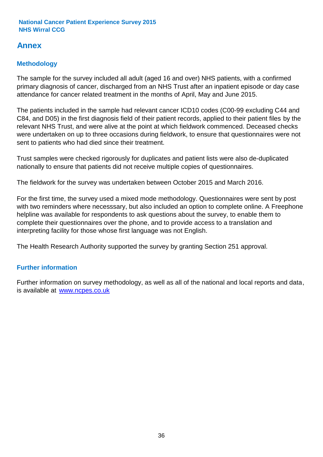### **Annex**

### **Methodology**

The sample for the survey included all adult (aged 16 and over) NHS patients, with a confirmed primary diagnosis of cancer, discharged from an NHS Trust after an inpatient episode or day case attendance for cancer related treatment in the months of April, May and June 2015.

The patients included in the sample had relevant cancer ICD10 codes (C00-99 excluding C44 and C84, and D05) in the first diagnosis field of their patient records, applied to their patient files by the relevant NHS Trust, and were alive at the point at which fieldwork commenced. Deceased checks were undertaken on up to three occasions during fieldwork, to ensure that questionnaires were not sent to patients who had died since their treatment.

Trust samples were checked rigorously for duplicates and patient lists were also de-duplicated nationally to ensure that patients did not receive multiple copies of questionnaires.

The fieldwork for the survey was undertaken between October 2015 and March 2016.

For the first time, the survey used a mixed mode methodology. Questionnaires were sent by post with two reminders where necesssary, but also included an option to complete online. A Freephone helpline was available for respondents to ask questions about the survey, to enable them to complete their questionnaires over the phone, and to provide access to a translation and interpreting facility for those whose first language was not English.

The Health Research Authority supported the survey by granting Section 251 approval.

#### **Further information**

Further information on survey methodology, as well as all of the national and local reports and data, is available at www.ncpes.co.uk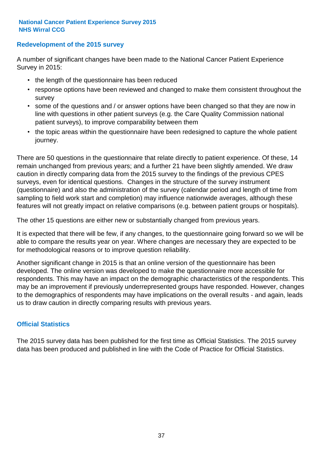#### **Redevelopment of the 2015 survey**

A number of significant changes have been made to the National Cancer Patient Experience Survey in 2015:

- the length of the questionnaire has been reduced
- response options have been reviewed and changed to make them consistent throughout the survey
- some of the questions and / or answer options have been changed so that they are now in line with questions in other patient surveys (e.g. the Care Quality Commission national patient surveys), to improve comparability between them
- the topic areas within the questionnaire have been redesigned to capture the whole patient journey.

There are 50 questions in the questionnaire that relate directly to patient experience. Of these, 14 remain unchanged from previous years; and a further 21 have been slightly amended. We draw caution in directly comparing data from the 2015 survey to the findings of the previous CPES surveys, even for identical questions. Changes in the structure of the survey instrument (questionnaire) and also the administration of the survey (calendar period and length of time from sampling to field work start and completion) may influence nationwide averages, although these features will not greatly impact on relative comparisons (e.g. between patient groups or hospitals).

The other 15 questions are either new or substantially changed from previous years.

It is expected that there will be few, if any changes, to the questionnaire going forward so we will be able to compare the results year on year. Where changes are necessary they are expected to be for methodological reasons or to improve question reliability.

Another significant change in 2015 is that an online version of the questionnaire has been developed. The online version was developed to make the questionnaire more accessible for respondents. This may have an impact on the demographic characteristics of the respondents. This may be an improvement if previously underrepresented groups have responded. However, changes to the demographics of respondents may have implications on the overall results - and again, leads us to draw caution in directly comparing results with previous years.

#### **Official Statistics**

The 2015 survey data has been published for the first time as Official Statistics. The 2015 survey data has been produced and published in line with the Code of Practice for Official Statistics.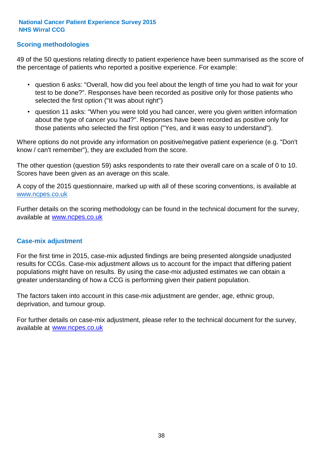#### **Scoring methodologies**

49 of the 50 questions relating directly to patient experience have been summarised as the score of the percentage of patients who reported a positive experience. For example:

- question 6 asks: "Overall, how did you feel about the length of time you had to wait for your test to be done?". Responses have been recorded as positive only for those patients who selected the first option ("It was about right")
- question 11 asks: "When you were told you had cancer, were you given written information about the type of cancer you had?". Responses have been recorded as positive only for those patients who selected the first option ("Yes, and it was easy to understand").

Where options do not provide any information on positive/negative patient experience (e.g. "Don't know / can't remember"), they are excluded from the score.

The other question (question 59) asks respondents to rate their overall care on a scale of 0 to 10. Scores have been given as an average on this scale.

A copy of the 2015 questionnaire, marked up with all of these scoring conventions, is available at www.ncpes.co.uk

Further details on the scoring methodology can be found in the technical document for the survey, available at <u>www.ncpes.co.uk</u>

#### **Case-mix adjustment**

For the first time in 2015, case-mix adjusted findings are being presented alongside unadjusted results for CCGs. Case-mix adjustment allows us to account for the impact that differing patient populations might have on results. By using the case-mix adjusted estimates we can obtain a greater understanding of how a CCG is performing given their patient population.

The factors taken into account in this case-mix adjustment are gender, age, ethnic group, deprivation, and tumour group.

For further details on case-mix adjustment, please refer to the technical document for the survey, available at www.ncpes.co.uk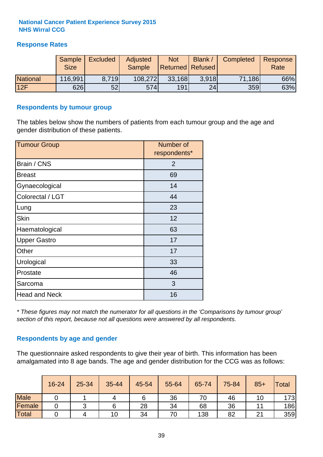#### **Response Rates**

|                 | Sample      | <b>Excluded</b> | Adjusted      | <b>Not</b>              | Blank /         | Completed | Response |
|-----------------|-------------|-----------------|---------------|-------------------------|-----------------|-----------|----------|
|                 | <b>Size</b> |                 | <b>Sample</b> | <b>Returned Refused</b> |                 |           | Rate     |
| <b>National</b> | 116,991     | 8.719           | 108,272       | 33,168                  | 3.918           | 71,186    | 66%      |
| 12F             | 626         | 52              | 574           | 191                     | 24 <sub>1</sub> | 359       | 63%      |

#### **Respondents by tumour group**

The tables below show the numbers of patients from each tumour group and the age and gender distribution of these patients.

| <b>Tumour Group</b>  | Number of<br>respondents* |
|----------------------|---------------------------|
| Brain / CNS          | $\overline{2}$            |
| <b>Breast</b>        | 69                        |
| Gynaecological       | 14                        |
| Colorectal / LGT     | 44                        |
| Lung                 | 23                        |
| <b>Skin</b>          | 12                        |
| Haematological       | 63                        |
| <b>Upper Gastro</b>  | 17                        |
| Other                | 17                        |
| Urological           | 33                        |
| Prostate             | 46                        |
| Sarcoma              | 3                         |
| <b>Head and Neck</b> | 16                        |

*\* These figures may not match the numerator for all questions in the 'Comparisons by tumour group' section of this report, because not all questions were answered by all respondents.*

#### **Respondents by age and gender**

The questionnaire asked respondents to give their year of birth. This information has been amalgamated into 8 age bands. The age and gender distribution for the CCG was as follows:

|             | 16-24 | 25-34 | 35-44 | 45-54 | 55-64 | 65-74 | 75-84 | $85+$   | Total |
|-------------|-------|-------|-------|-------|-------|-------|-------|---------|-------|
| <b>Male</b> |       |       |       | 6     | 36    | 70    | 46    |         | 173   |
| Female      |       |       |       | 28    | 34    | 68    | 36    |         | 186   |
| Total       |       |       | 10    | 34    | 70    | 138   | 82    | 21<br>∠ | 359   |